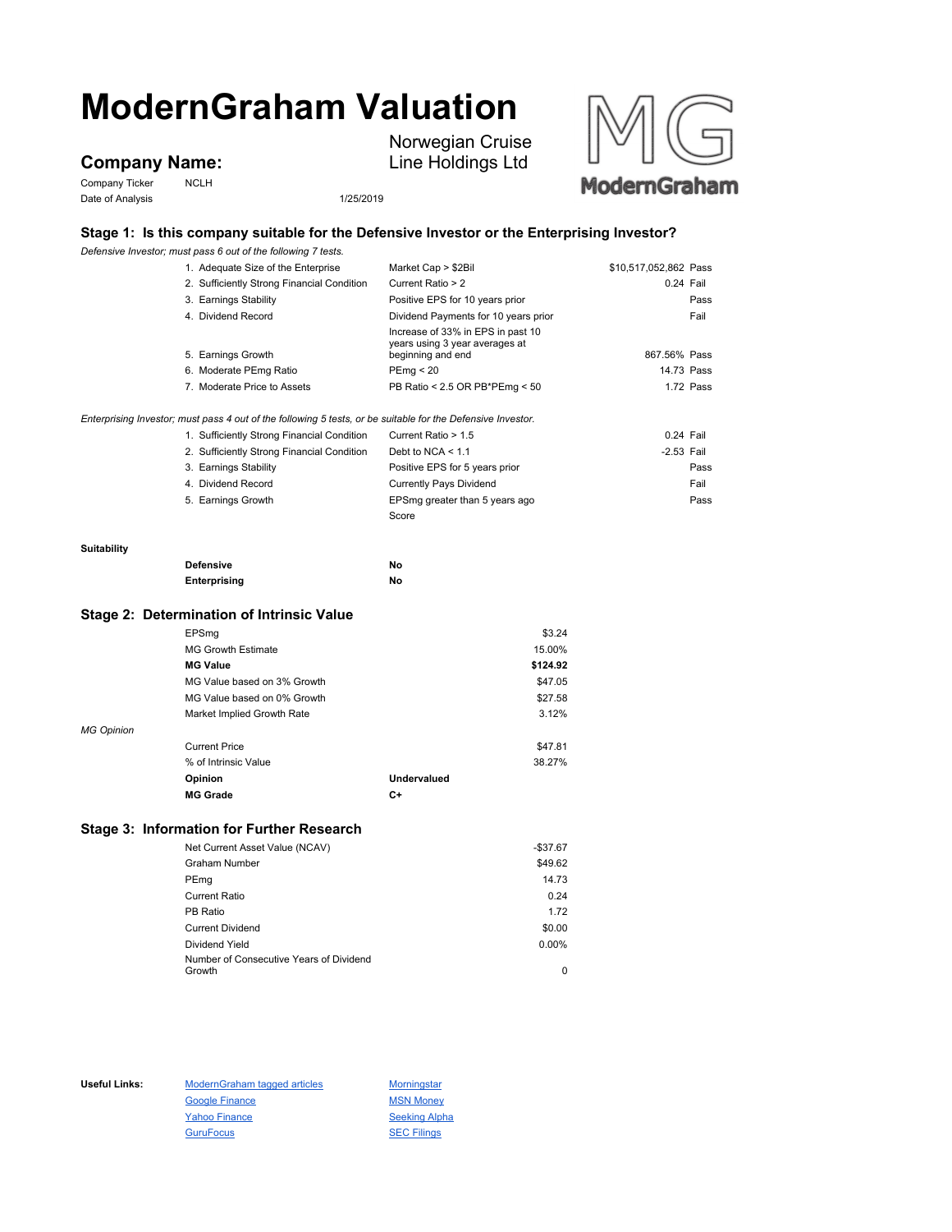# **ModernGraham Valuation**

**Company Name:**

Company Ticker NCLH Date of Analysis 1/25/2019

Norwegian Cruise Line Holdings Ltd



## **Stage 1: Is this company suitable for the Defensive Investor or the Enterprising Investor?**

*Defensive Investor; must pass 6 out of the following 7 tests.*

|                    | Defensive Investor; must pass 6 out of the following 7 tests.                                               |                                                                     |                       |
|--------------------|-------------------------------------------------------------------------------------------------------------|---------------------------------------------------------------------|-----------------------|
|                    | 1. Adequate Size of the Enterprise                                                                          | Market Cap > \$2Bil                                                 | \$10,517,052,862 Pass |
|                    | 2. Sufficiently Strong Financial Condition                                                                  | Current Ratio > 2                                                   | 0.24 Fail             |
|                    | 3. Earnings Stability                                                                                       | Positive EPS for 10 years prior                                     | Pass                  |
|                    | 4. Dividend Record                                                                                          | Dividend Payments for 10 years prior                                | Fail                  |
|                    |                                                                                                             | Increase of 33% in EPS in past 10<br>years using 3 year averages at |                       |
|                    | 5. Earnings Growth                                                                                          | beginning and end                                                   | 867.56% Pass          |
|                    | 6. Moderate PEmg Ratio                                                                                      | PEmg < 20                                                           | 14.73 Pass            |
|                    | 7. Moderate Price to Assets                                                                                 | PB Ratio < 2.5 OR PB*PEmg < 50                                      | 1.72 Pass             |
|                    | Enterprising Investor; must pass 4 out of the following 5 tests, or be suitable for the Defensive Investor. |                                                                     |                       |
|                    | 1. Sufficiently Strong Financial Condition                                                                  | Current Ratio > 1.5                                                 | $0.24$ Fail           |
|                    | 2. Sufficiently Strong Financial Condition                                                                  | Debt to NCA $<$ 1.1                                                 | $-2.53$ Fail          |
|                    | 3. Earnings Stability                                                                                       | Positive EPS for 5 years prior                                      | Pass                  |
|                    | 4. Dividend Record                                                                                          | <b>Currently Pays Dividend</b>                                      | Fail                  |
|                    | 5. Earnings Growth                                                                                          | EPSmg greater than 5 years ago                                      | Pass                  |
|                    |                                                                                                             | Score                                                               |                       |
| <b>Suitability</b> |                                                                                                             |                                                                     |                       |
|                    | <b>Defensive</b>                                                                                            | No                                                                  |                       |
|                    | Enterprising                                                                                                | No                                                                  |                       |
|                    | Stage 2: Determination of Intrinsic Value                                                                   |                                                                     |                       |
|                    |                                                                                                             |                                                                     |                       |
|                    | EPSmg                                                                                                       | \$3.24                                                              |                       |
|                    | <b>MG Growth Estimate</b>                                                                                   | 15.00%                                                              |                       |
|                    | <b>MG Value</b>                                                                                             | \$124.92                                                            |                       |
|                    | MG Value based on 3% Growth                                                                                 | \$47.05                                                             |                       |
|                    | MG Value based on 0% Growth                                                                                 | \$27.58                                                             |                       |
|                    | Market Implied Growth Rate                                                                                  | 3.12%                                                               |                       |
| <b>MG Opinion</b>  |                                                                                                             |                                                                     |                       |
|                    | <b>Current Price</b>                                                                                        | \$47.81                                                             |                       |
|                    | % of Intrinsic Value                                                                                        | 38.27%                                                              |                       |
|                    | Opinion                                                                                                     | Undervalued                                                         |                       |
|                    | <b>MG Grade</b>                                                                                             | C+                                                                  |                       |
|                    |                                                                                                             |                                                                     |                       |

### **Stage 3: Information for Further Research**

| Net Current Asset Value (NCAV)          | $-$37.67$ |
|-----------------------------------------|-----------|
| Graham Number                           | \$49.62   |
| PEmg                                    | 14.73     |
| <b>Current Ratio</b>                    | 0.24      |
| PB Ratio                                | 1.72      |
| <b>Current Dividend</b>                 | \$0.00    |
| Dividend Yield                          | 0.00%     |
| Number of Consecutive Years of Dividend |           |
| Growth                                  | 0         |

Useful Links: ModernGraham tagged articles Morningstar Google Finance MSN Money Yahoo Finance Seeking Alpha GuruFocus **SEC Filings**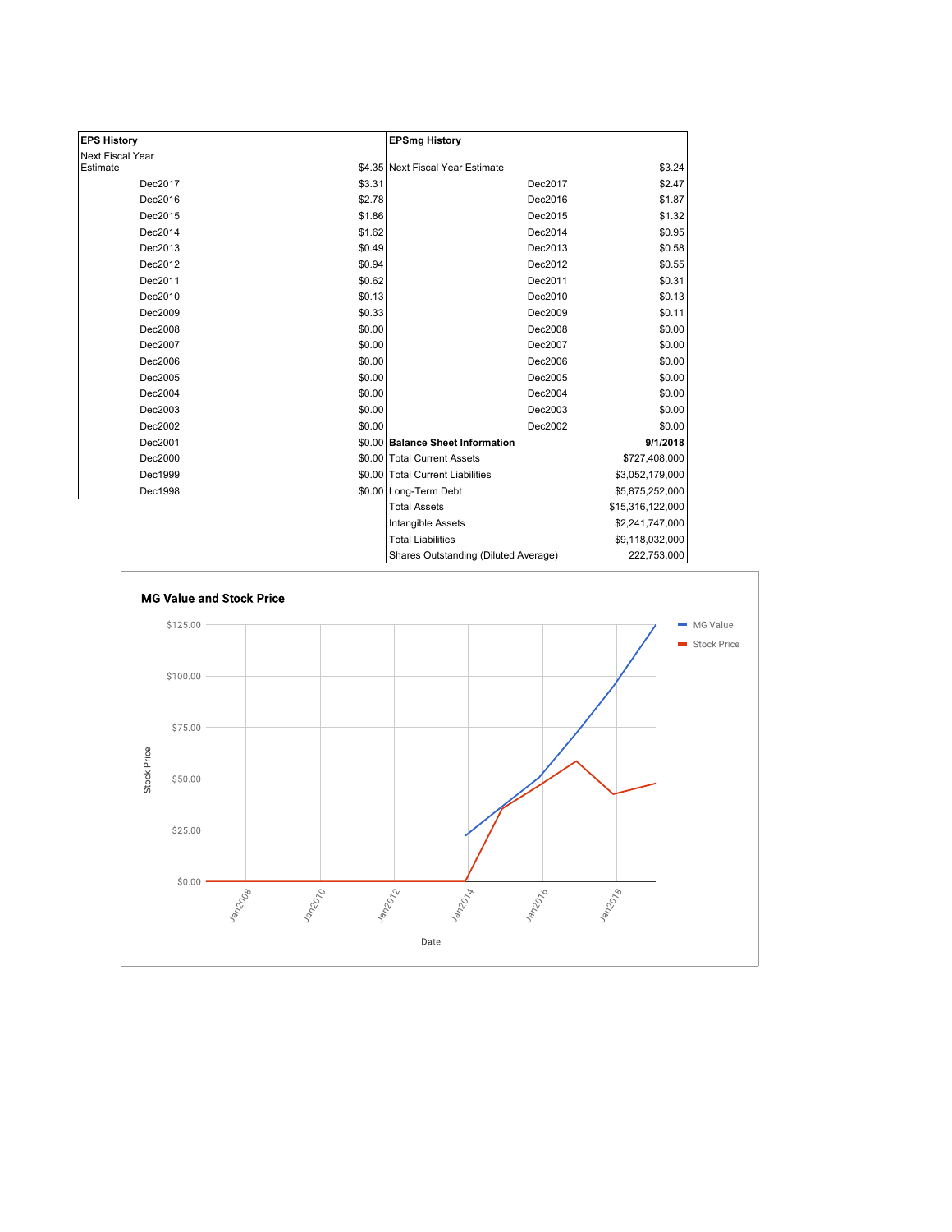| <b>EPS History</b> |        | <b>EPSmg History</b>                 |                  |
|--------------------|--------|--------------------------------------|------------------|
| Next Fiscal Year   |        |                                      |                  |
| Estimate           |        | \$4.35 Next Fiscal Year Estimate     | \$3.24           |
| Dec2017            | \$3.31 | Dec2017                              | \$2.47           |
| Dec2016            | \$2.78 | Dec2016                              | \$1.87           |
| Dec2015            | \$1.86 | Dec2015                              | \$1.32           |
| Dec2014            | \$1.62 | Dec2014                              | \$0.95           |
| Dec2013            | \$0.49 | Dec2013                              | \$0.58           |
| Dec2012            | \$0.94 | Dec2012                              | \$0.55           |
| Dec2011            | \$0.62 | Dec2011                              | \$0.31           |
| Dec2010            | \$0.13 | Dec2010                              | \$0.13           |
| Dec2009            | \$0.33 | Dec2009                              | \$0.11           |
| Dec2008            | \$0.00 | Dec2008                              | \$0.00           |
| Dec2007            | \$0.00 | Dec2007                              | \$0.00           |
| Dec2006            | \$0.00 | Dec2006                              | \$0.00           |
| Dec2005            | \$0.00 | Dec2005                              | \$0.00           |
| Dec2004            | \$0.00 | Dec2004                              | \$0.00           |
| Dec2003            | \$0.00 | Dec2003                              | \$0.00           |
| Dec2002            | \$0.00 | Dec2002                              | \$0.00           |
| Dec2001            |        | \$0.00 Balance Sheet Information     | 9/1/2018         |
| Dec2000            |        | \$0.00 Total Current Assets          | \$727,408,000    |
| Dec1999            |        | \$0.00 Total Current Liabilities     | \$3,052,179,000  |
| Dec1998            |        | \$0.00 Long-Term Debt                | \$5,875,252,000  |
|                    |        | <b>Total Assets</b>                  | \$15,316,122,000 |
|                    |        | Intangible Assets                    | \$2,241,747,000  |
|                    |        | <b>Total Liabilities</b>             | \$9,118,032,000  |
|                    |        | Shares Outstanding (Diluted Average) | 222,753,000      |